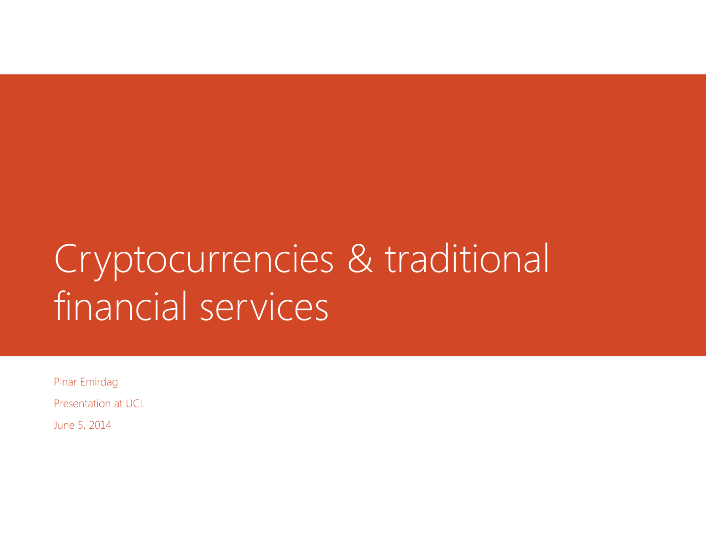# Cryptocurrencies & traditional financial services

Pinar Emirdag

Presentation at UCL

June 5, 2014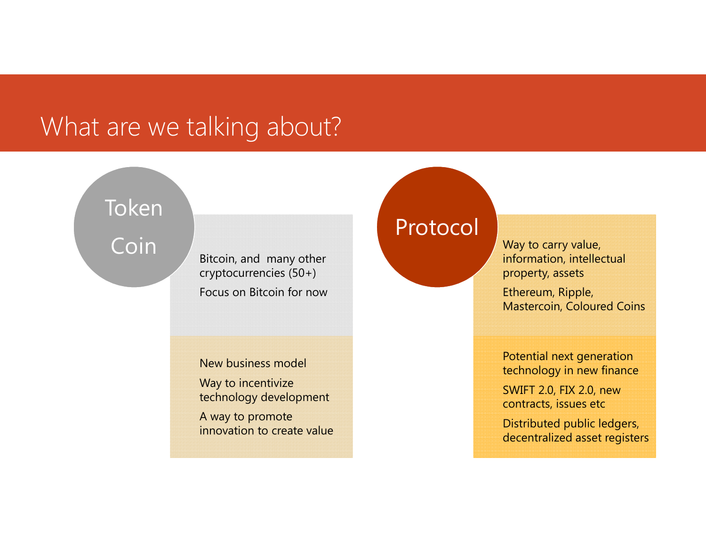### What are we talking about?

Token

Coin

cryptocurrencies (50+) Focus on Bitcoin for now

New business model

Way to incentivize technology development

A way to promote innovation to create value

### Protocol

**Phono Secondary Secondary Secondary of the Contract of Contract Contract Contract Contract Contract Contract Contract Contract Contract Contract Contract Contract Contract Contract Contract Contract Contract Contract Cont** property, assets

> Ethereum, Ripple, Mastercoin, Coloured Coins

Potential next generation technology in new finance

SWIFT 2.0, FIX 2.0, new contracts, issues etc

Distributed public ledgers, decentralized asset registers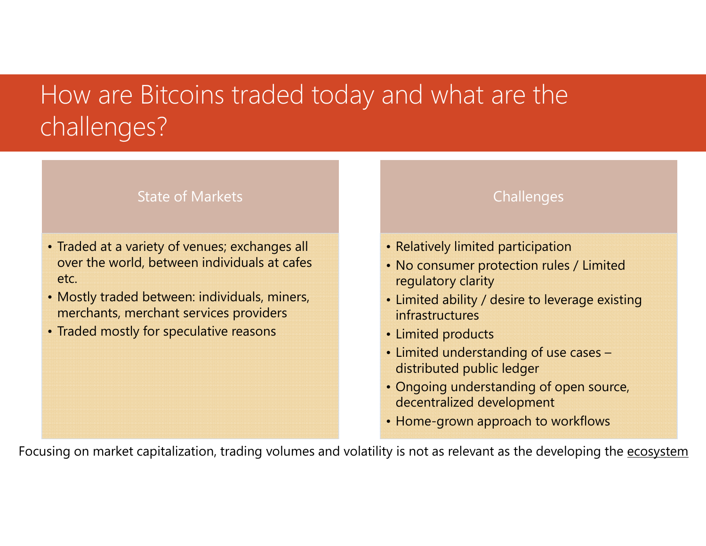## How are Bitcoins traded today and what are the challenges?

### State of Markets

- Traded at a variety of venues; exchanges all over the world, between individuals at cafes etc.
- Mostly traded between: individuals, miners, merchants, merchant services providers
- Traded mostly for speculative reasons

**Challenges** 

- Relatively limited participation
- No consumer protection rules / Limited regulatory clarity
- Limited ability / desire to leverage existing infrastructures
- Limited products
- Limited understanding of use cases distributed public ledger
- Ongoing understanding of open source, decentralized development
- Home-grown approach to workflows

Focusing on market capitalization, trading volumes and volatility is not as relevant as the developing the ecosystem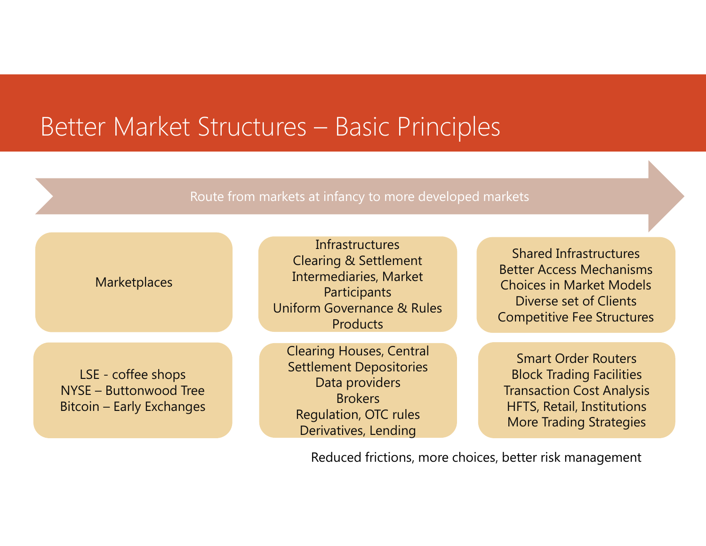### Better Market Structures – Basic Principles

#### Route from markets at infancy to more developed markets



Reduced frictions, more choices, better risk management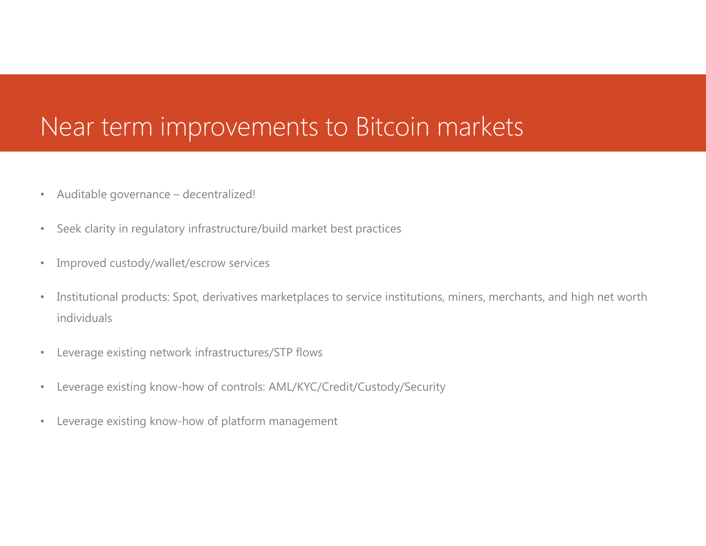### Near term improvements to Bitcoin markets

- •Auditable governance – decentralized!
- $\bullet$ Seek clarity in regulatory infrastructure/build market best practices
- •Improved custody/wallet/escrow services
- • Institutional products: Spot, derivatives marketplaces to service institutions, miners, merchants, and high net worth individuals
- •Leverage existing network infrastructures/STP flows
- $\bullet$ Leverage existing know-how of controls: AML/KYC/Credit/Custody/Security
- $\bullet$ Leverage existing know-how of platform management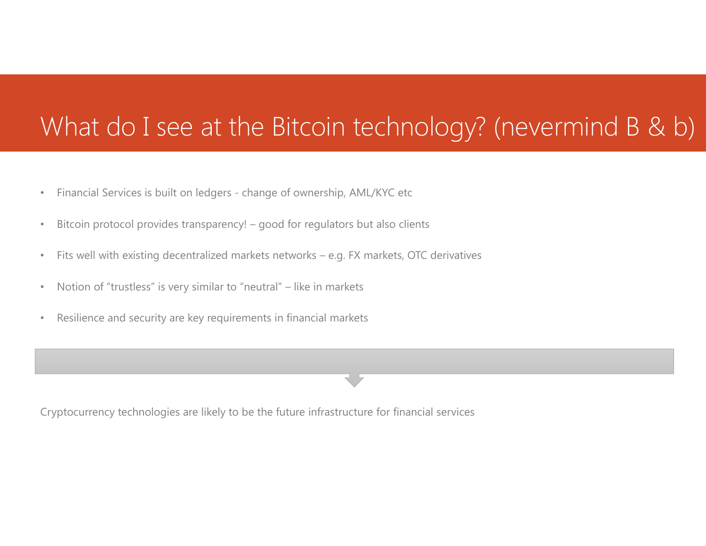## What do I see at the Bitcoin technology? (nevermind B & b)

- •Financial Services is built on ledgers - change of ownership, AML/KYC etc
- •Bitcoin protocol provides transparency! – good for regulators but also clients
- $\bullet$ Fits well with existing decentralized markets networks – e.g. FX markets, OTC derivatives
- $\bullet$ Notion of "trustless" is very similar to "neutral" – like in markets
- •Resilience and security are key requirements in financial markets

Cryptocurrency technologies are likely to be the future infrastructure for financial services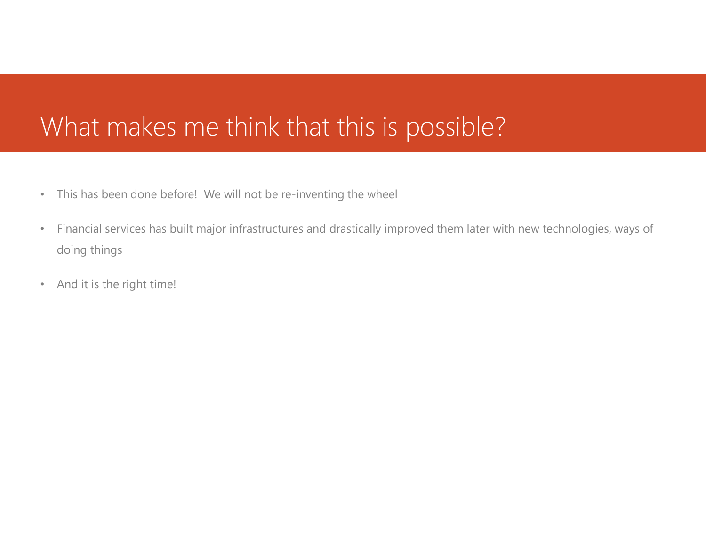### What makes me think that this is possible?

- •This has been done before! We will not be re-inventing the wheel
- • Financial services has built major infrastructures and drastically improved them later with new technologies, ways of doing things
- •And it is the right time!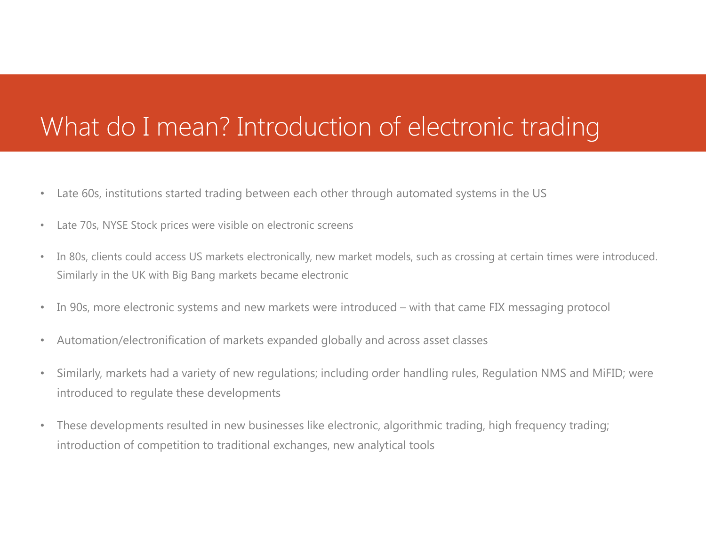### What do I mean? Introduction of electronic trading

- •Late 60s, institutions started trading between each other through automated systems in the US
- •Late 70s, NYSE Stock prices were visible on electronic screens
- • In 80s, clients could access US markets electronically, new market models, such as crossing at certain times were introduced. Similarly in the UK with Big Bang markets became electronic
- •In 90s, more electronic systems and new markets were introduced – with that came FIX messaging protocol
- $\bullet$ Automation/electronification of markets expanded globally and across asset classes
- • Similarly, markets had a variety of new regulations; including order handling rules, Regulation NMS and MiFID; were introduced to regulate these developments
- • These developments resulted in new businesses like electronic, algorithmic trading, high frequency trading; introduction of competition to traditional exchanges, new analytical tools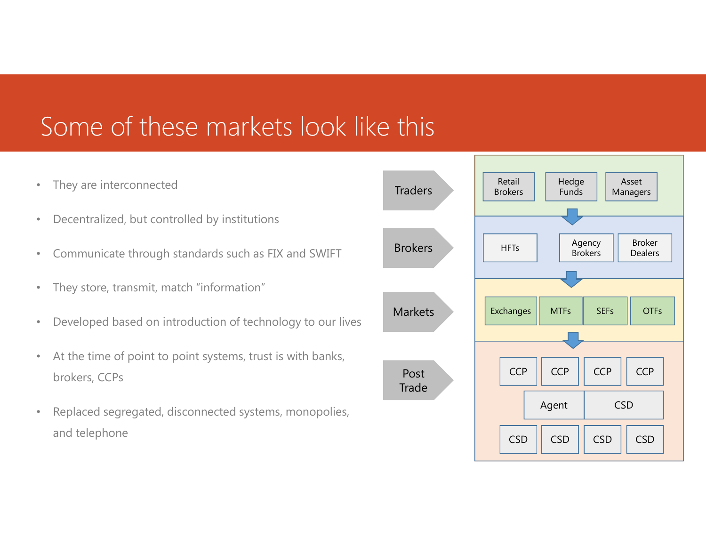### Some of these markets look like this

- $\bullet$ They are interconnected
- $\bullet$ Decentralized, but controlled by institutions
- $\bullet$ Communicate through standards such as FIX and SWIFT
- •They store, transmit, match "information"
- $\bullet$ Developed based on introduction of technology to our lives
- • At the time of point to point systems, trust is with banks, brokers, CCPs
- $\bullet$  Replaced segregated, disconnected systems, monopolies, and telephone

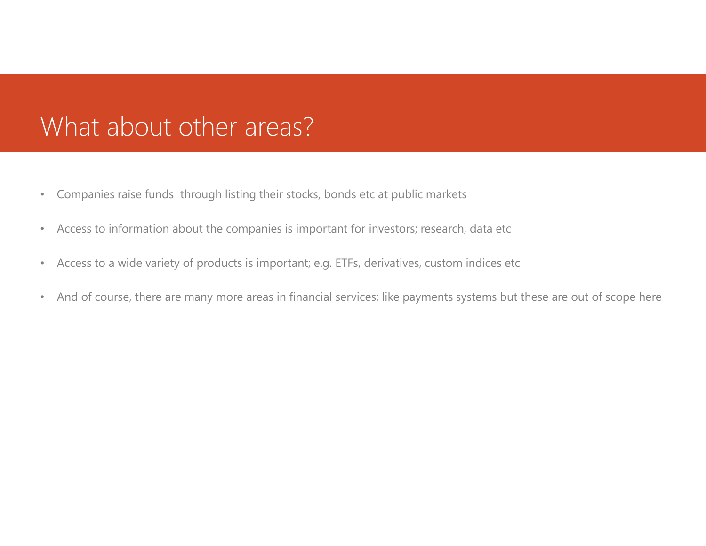### What about other areas?

- $\bullet$ Companies raise funds through listing their stocks, bonds etc at public markets
- $\bullet$ Access to information about the companies is important for investors; research, data etc
- •Access to a wide variety of products is important; e.g. ETFs, derivatives, custom indices etc
- •And of course, there are many more areas in financial services; like payments systems but these are out of scope here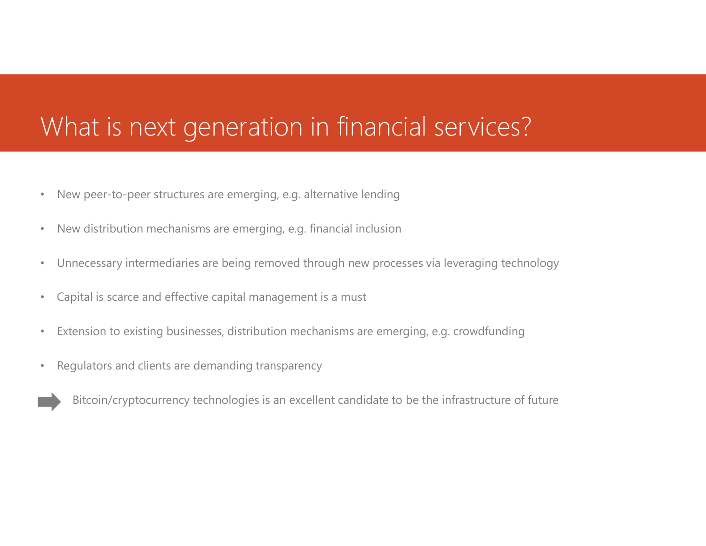### What is next generation in financial services?

- •New peer-to-peer structures are emerging, e.g. alternative lending
- $\bullet$ New distribution mechanisms are emerging, e.g. financial inclusion
- •Unnecessary intermediaries are being removed through new processes via leveraging technology
- $\bullet$ Capital is scarce and effective capital management is a must
- •Extension to existing businesses, distribution mechanisms are emerging, e.g. crowdfunding
- •Regulators and clients are demanding transparency

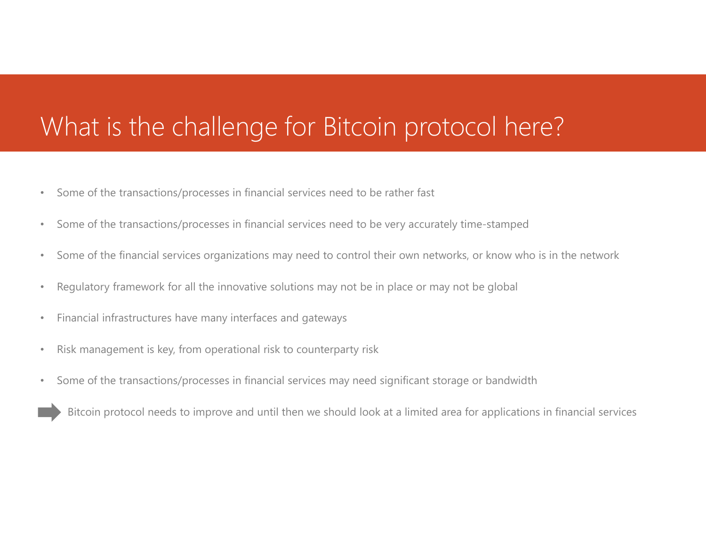### What is the challenge for Bitcoin protocol here?

- •Some of the transactions/processes in financial services need to be rather fast
- •Some of the transactions/processes in financial services need to be very accurately time-stamped
- $\bullet$ Some of the financial services organizations may need to control their own networks, or know who is in the network
- $\bullet$ Regulatory framework for all the innovative solutions may not be in place or may not be global
- •Financial infrastructures have many interfaces and gateways
- •Risk management is key, from operational risk to counterparty risk
- $\bullet$ Some of the transactions/processes in financial services may need significant storage or bandwidth